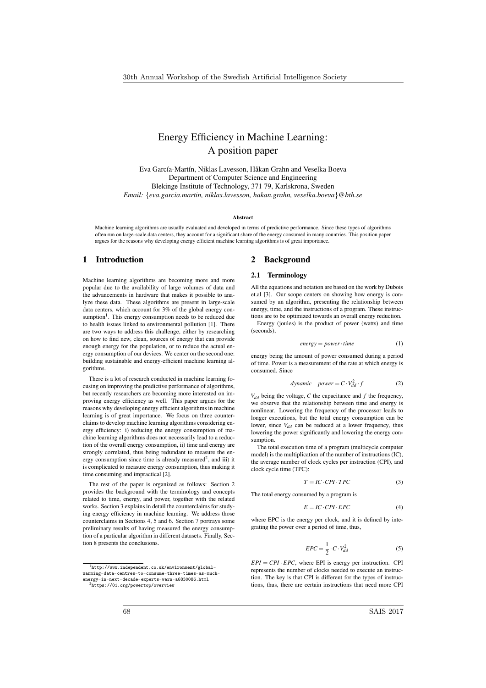# Energy Efficiency in Machine Learning: A position paper

Eva García-Martín, Niklas Lavesson, Håkan Grahn and Veselka Boeva Department of Computer Science and Engineering Blekinge Institute of Technology, 371 79, Karlskrona, Sweden *Email: {eva.garcia.martin, niklas.lavesson, hakan.grahn, veselka.boeva}@bth.se*

#### Abstract

Machine learning algorithms are usually evaluated and developed in terms of predictive performance. Since these types of algorithms often run on large-scale data centers, they account for a significant share of the energy consumed in many countries. This position paper argues for the reasons why developing energy efficient machine learning algorithms is of great importance.

# 1 Introduction

Machine learning algorithms are becoming more and more popular due to the availability of large volumes of data and the advancements in hardware that makes it possible to analyze these data. These algorithms are present in large-scale data centers, which account for 3% of the global energy consumption<sup>1</sup>. This energy consumption needs to be reduced due to health issues linked to environmental pollution [1]. There are two ways to address this challenge, either by researching on how to find new, clean, sources of energy that can provide enough energy for the population, or to reduce the actual energy consumption of our devices. We center on the second one: building sustainable and energy-efficient machine learning algorithms.

There is a lot of research conducted in machine learning focusing on improving the predictive performance of algorithms, but recently researchers are becoming more interested on improving energy efficiency as well. This paper argues for the reasons why developing energy efficient algorithms in machine learning is of great importance. We focus on three counterclaims to develop machine learning algorithms considering energy efficiency: i) reducing the energy consumption of machine learning algorithms does not necessarily lead to a reduction of the overall energy consumption, ii) time and energy are strongly correlated, thus being redundant to measure the energy consumption since time is already measured<sup>2</sup>, and iii) it is complicated to measure energy consumption, thus making it time consuming and impractical [2].

The rest of the paper is organized as follows: Section 2 provides the background with the terminology and concepts related to time, energy, and power, together with the related works. Section 3 explains in detail the counterclaims for studying energy efficiency in machine learning. We address those counterclaims in Sections 4, 5 and 6. Section 7 portrays some preliminary results of having measured the energy consumption of a particular algorithm in different datasets. Finally, Section 8 presents the conclusions.

<sup>1</sup>http://www.independent.co.uk/environment/globalwarming-data-centres-to-consume-three-times-as-muchenergy-in-next-decade-experts-warn-a6830086.html

# 2 Background

## 2.1 Terminology

All the equations and notation are based on the work by Dubois et.al [3]. Our scope centers on showing how energy is consumed by an algorithm, presenting the relationship between energy, time, and the instructions of a program. These instructions are to be optimized towards an overall energy reduction.

Energy (joules) is the product of power (watts) and time (seconds),

$$
energy = power \cdot time \tag{1}
$$

energy being the amount of power consumed during a period of time. Power is a measurement of the rate at which energy is consumed. Since

$$
dynamic \quad power = C \cdot V_{dd}^2 \cdot f \tag{2}
$$

 $V_{dd}$  being the voltage,  $C$  the capacitance and  $f$  the frequency, we observe that the relationship between time and energy is nonlinear. Lowering the frequency of the processor leads to longer executions, but the total energy consumption can be lower, since  $V_{dd}$  can be reduced at a lower frequency, thus lowering the power significantly and lowering the energy consumption.

The total execution time of a program (multicycle computer model) is the multiplication of the number of instructions (IC), the average number of clock cycles per instruction (CPI), and clock cycle time (TPC):

$$
T = IC \cdot CPI \cdot TPC \tag{3}
$$

The total energy consumed by a program is

$$
E = IC \cdot CPI \cdot EPC \tag{4}
$$

where EPC is the energy per clock, and it is defined by integrating the power over a period of time, thus,

$$
EPC = \frac{1}{2} \cdot C \cdot V_{dd}^2 \tag{5}
$$

 $EPI = CPI \cdot EPC$ , where EPI is energy per instruction. CPI represents the number of clocks needed to execute an instruction. The key is that CPI is different for the types of instructions, thus, there are certain instructions that need more CPI

<sup>2</sup>https://01.org/powertop/overview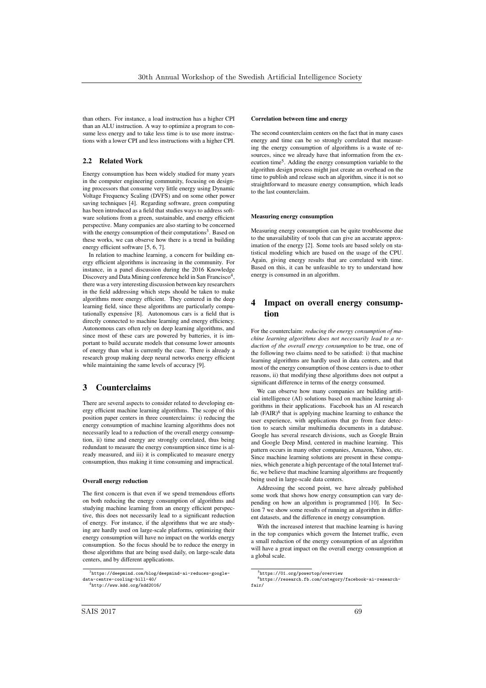than others. For instance, a load instruction has a higher CPI than an ALU instruction. A way to optimize a program to consume less energy and to take less time is to use more instructions with a lower CPI and less instructions with a higher CPI.

# 2.2 Related Work

Energy consumption has been widely studied for many years in the computer engineering community, focusing on designing processors that consume very little energy using Dynamic Voltage Frequency Scaling (DVFS) and on some other power saving techniques [4]. Regarding software, green computing has been introduced as a field that studies ways to address software solutions from a green, sustainable, and energy efficient perspective. Many companies are also starting to be concerned with the energy consumption of their computations<sup>3</sup>. Based on these works, we can observe how there is a trend in building energy efficient software [5, 6, 7].

In relation to machine learning, a concern for building energy efficient algorithms is increasing in the community. For instance, in a panel discussion during the 2016 Knowledge Discovery and Data Mining conference held in San Francisco<sup>4</sup>, there was a very interesting discussion between key researchers in the field addressing which steps should be taken to make algorithms more energy efficient. They centered in the deep learning field, since these algorithms are particularly computationally expensive [8]. Autonomous cars is a field that is directly connected to machine learning and energy efficiency. Autonomous cars often rely on deep learning algorithms, and since most of these cars are powered by batteries, it is important to build accurate models that consume lower amounts of energy than what is currently the case. There is already a research group making deep neural networks energy efficient while maintaining the same levels of accuracy [9].

# 3 Counterclaims

There are several aspects to consider related to developing energy efficient machine learning algorithms. The scope of this position paper centers in three counterclaims: i) reducing the energy consumption of machine learning algorithms does not necessarily lead to a reduction of the overall energy consumption, ii) time and energy are strongly correlated, thus being redundant to measure the energy consumption since time is already measured, and iii) it is complicated to measure energy consumption, thus making it time consuming and impractical.

### Overall energy reduction

The first concern is that even if we spend tremendous efforts on both reducing the energy consumption of algorithms and studying machine learning from an energy efficient perspective, this does not necessarily lead to a significant reduction of energy. For instance, if the algorithms that we are studying are hardly used on large-scale platforms, optimizing their energy consumption will have no impact on the worlds energy consumption. So the focus should be to reduce the energy in those algorithms that are being used daily, on large-scale data centers, and by different applications.

#### Correlation between time and energy

The second counterclaim centers on the fact that in many cases energy and time can be so strongly correlated that measuring the energy consumption of algorithms is a waste of resources, since we already have that information from the execution time5. Adding the energy consumption variable to the algorithm design process might just create an overhead on the time to publish and release such an algorithm, since it is not so straightforward to measure energy consumption, which leads to the last counterclaim.

### Measuring energy consumption

Measuring energy consumption can be quite troublesome due to the unavailability of tools that can give an accurate approximation of the energy [2]. Some tools are based solely on statistical modeling which are based on the usage of the CPU. Again, giving energy results that are correlated with time. Based on this, it can be unfeasible to try to understand how energy is consumed in an algorithm.

# 4 Impact on overall energy consumption

For the counterclaim: *reducing the energy consumption of machine learning algorithms does not necessarily lead to a reduction of the overall energy consumption* to be true, one of the following two claims need to be satisfied: i) that machine learning algorithms are hardly used in data centers, and that most of the energy consumption of those centers is due to other reasons, ii) that modifying these algorithms does not output a significant difference in terms of the energy consumed.

We can observe how many companies are building artificial intelligence (AI) solutions based on machine learning algorithms in their applications. Facebook has an AI research lab  $(FAIR)^6$  that is applying machine learning to enhance the user experience, with applications that go from face detection to search similar multimedia documents in a database. Google has several research divisions, such as Google Brain and Google Deep Mind, centered in machine learning. This pattern occurs in many other companies, Amazon, Yahoo, etc. Since machine learning solutions are present in these companies, which generate a high percentage of the total Internet traffic, we believe that machine learning algorithms are frequently being used in large-scale data centers.

Addressing the second point, we have already published some work that shows how energy consumption can vary depending on how an algorithm is programmed [10]. In Section 7 we show some results of running an algorithm in different datasets, and the difference in energy consumption.

With the increased interest that machine learning is having in the top companies which govern the Internet traffic, even a small reduction of the energy consumption of an algorithm will have a great impact on the overall energy consumption at a global scale.

 $\frac{3}{3}$ https://deepmind.com/blog/deepmind-ai-reduces-googledata-centre-cooling-bill-40/ <sup>4</sup>http://www.kdd.org/kdd2016/

<sup>5</sup>https://01.org/powertop/overview

<sup>6</sup>https://research.fb.com/category/facebook-ai-researchfair/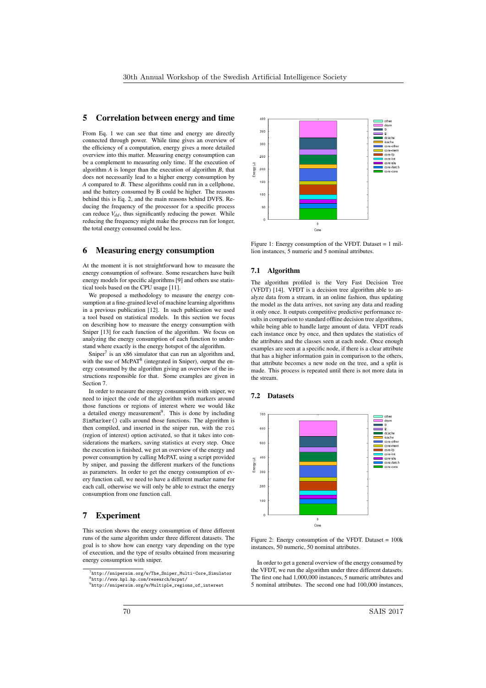# 5 Correlation between energy and time

From Eq. 1 we can see that time and energy are directly connected through power. While time gives an overview of the efficiency of a computation, energy gives a more detailed overview into this matter. Measuring energy consumption can be a complement to measuring only time. If the execution of algorithm *A* is longer than the execution of algorithm *B*, that does not necessarily lead to a higher energy consumption by *A* compared to *B*. These algorithms could run in a cellphone, and the battery consumed by B could be higher. The reasons behind this is Eq. 2, and the main reasons behind DVFS. Reducing the frequency of the processor for a specific process can reduce  $V_{dd}$  thus significantly reducing the power. While reducing the frequency might make the process run for longer the total energy consumed could be less.

### 6 Measuring energy consumption

At the moment it is not straightforward how to measure the energy consumption of software. Some researchers have built energy models for specific algorithms [9] and others use statistical tools based on the CPU usage [11].

We proposed a methodology to measure the energy consumption at a fine-grained level of machine learning algorithms in a previous publication [12]. In such publication we used a tool based on statistical models. In this section we focus on describing how to measure the energy consumption with Sniper [13] for each function of the algorithm. We focus on analyzing the energy consumption of each function to understand where exactly is the energy hotspot of the algorithm.

Sniper<sup>7</sup> is an  $x86$  simulator that can run an algorithm and, with the use of McPAT<sup>8</sup> (integrated in Sniper), output the energy consumed by the algorithm giving an overview of the instructions responsible for that. Some examples are given in Section 7.

In order to measure the energy consumption with sniper, we need to inject the code of the algorithm with markers around those functions or regions of interest where we would like a detailed energy measurement<sup>9</sup>. This is done by including SimMarker() calls around those functions. The algorithm is then compiled, and inserted in the sniper run, with the roi (region of interest) option activated, so that it takes into considerations the markers, saving statistics at every step. Once the execution is finished, we get an overview of the energy and power consumption by calling McPAT, using a script provided by sniper, and passing the different markers of the functions as parameters. In order to get the energy consumption of every function call, we need to have a different marker name for each call, otherwise we will only be able to extract the energy consumption from one function call.

# 7 Experiment

This section shows the energy consumption of three different runs of the same algorithm under three different datasets. The goal is to show how can energy vary depending on the type of execution, and the type of results obtained from measuring energy consumption with sniper.



Figure 1: Energy consumption of the VFDT. Dataset = 1 million instances, 5 numeric and 5 nominal attributes.

### 7.1 Algorithm

The algorithm profiled is the Very Fast Decision Tree (VFDT) [14]. VFDT is a decision tree algorithm able to analyze data from a stream, in an online fashion, thus updating the model as the data arrives, not saving any data and reading it only once. It outputs competitive predictive performance results in comparison to standard offline decision tree algorithms. while being able to handle large amount of data. VFDT reads each instance once by once, and then updates the statistics of the attributes and the classes seen at each node. Once enough examples are seen at a specific node, if there is a clear attribute that has a higher information gain in comparison to the others, that attribute becomes a new node on the tree, and a split is made. This process is repeated until there is not more data in the stream.

### 7.2 Datasets



Figure 2: Energy consumption of the VFDT. Dataset = 100k instances, 50 numeric, 50 nominal attributes.

In order to get a general overview of the energy consumed by the VFDT, we run the algorithm under three different datasets. The first one had 1,000,000 instances, 5 numeric attributes and 5 nominal attributes. The second one had 100,000 instances,

<sup>7</sup>http://snipersim.org/w/The\_Sniper\_Multi-Core\_Simulator <sup>8</sup>http://www.hpl.hp.com/research/mcpat/

<sup>9</sup>http://snipersim.org/w/Multiple\_regions\_of\_interest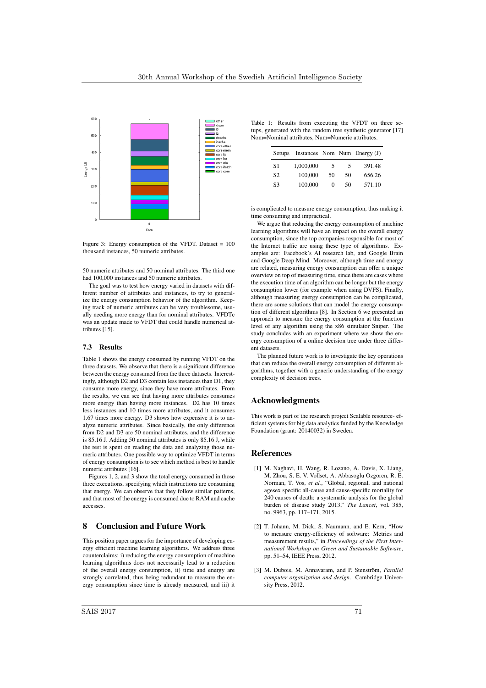

Figure 3: Energy consumption of the VFDT. Dataset = 100 thousand instances, 50 numeric attributes.

50 numeric attributes and 50 nominal attributes. The third one had 100,000 instances and 50 numeric attributes.

The goal was to test how energy varied in datasets with different number of attributes and instances, to try to generalize the energy consumption behavior of the algorithm. Keeping track of numeric attributes can be very troublesome, usually needing more energy than for nominal attributes. VFDTc was an update made to VFDT that could handle numerical attributes [15].

### 7.3 Results

Table 1 shows the energy consumed by running VFDT on the three datasets. We observe that there is a significant difference between the energy consumed from the three datasets. Interestingly, although D2 and D3 contain less instances than D1, they consume more energy, since they have more attributes. From the results, we can see that having more attributes consumes more energy than having more instances. D2 has 10 times less instances and 10 times more attributes, and it consumes 1.67 times more energy. D3 shows how expensive it is to analyze numeric attributes. Since basically, the only difference from D2 and D3 are 50 nominal attributes, and the difference is 85.16 J. Adding 50 nominal attributes is only 85.16 J, while the rest is spent on reading the data and analyzing those numeric attributes. One possible way to optimize VFDT in terms of energy consumption is to see which method is best to handle numeric attributes [16].

Figures 1, 2, and 3 show the total energy consumed in those three executions, specifying which instructions are consuming that energy. We can observe that they follow similar patterns, and that most of the energy is consumed due to RAM and cache accesses.

# 8 Conclusion and Future Work

This position paper argues for the importance of developing energy efficient machine learning algorithms. We address three counterclaims: i) reducing the energy consumption of machine learning algorithms does not necessarily lead to a reduction of the overall energy consumption, ii) time and energy are strongly correlated, thus being redundant to measure the energy consumption since time is already measured, and iii) it

Table 1: Results from executing the VFDT on three setups, generated with the random tree synthetic generator [17] Nom=Nominal attributes, Num=Numeric attributes.

| <b>Setups</b>  |           |          |    | Instances Nom Num Energy (J) |
|----------------|-----------|----------|----|------------------------------|
| S1             | 1.000.000 | 5        | 5  | 391.48                       |
| S <sub>2</sub> | 100,000   | 50       | 50 | 656.26                       |
| S3             | 100,000   | $\Omega$ | 50 | 571.10                       |

is complicated to measure energy consumption, thus making it time consuming and impractical.

We argue that reducing the energy consumption of machine learning algorithms will have an impact on the overall energy consumption, since the top companies responsible for most of the Internet traffic are using these type of algorithms. Examples are: Facebook's AI research lab, and Google Brain and Google Deep Mind. Moreover, although time and energy are related, measuring energy consumption can offer a unique overview on top of measuring time, since there are cases where the execution time of an algorithm can be longer but the energy consumption lower (for example when using DVFS). Finally, although measuring energy consumption can be complicated, there are some solutions that can model the energy consumption of different algorithms [8]. In Section 6 we presented an approach to measure the energy consumption at the function level of any algorithm using the x86 simulator Sniper. The study concludes with an experiment where we show the energy consumption of a online decision tree under three different datasets.

The planned future work is to investigate the key operations that can reduce the overall energy consumption of different algorithms, together with a generic understanding of the energy complexity of decision trees.

# Acknowledgments

This work is part of the research project Scalable resource- efficient systems for big data analytics funded by the Knowledge Foundation (grant: 20140032) in Sweden.

# References

- [1] M. Naghavi, H. Wang, R. Lozano, A. Davis, X. Liang, M. Zhou, S. E. V. Vollset, A. Abbasoglu Ozgoren, R. E. Norman, T. Vos, *et al.*, "Global, regional, and national agesex specific all-cause and cause-specific mortality for 240 causes of death: a systematic analysis for the global burden of disease study 2013," *The Lancet*, vol. 385, no. 9963, pp. 117–171, 2015.
- [2] T. Johann, M. Dick, S. Naumann, and E. Kern, "How to measure energy-efficiency of software: Metrics and measurement results," in *Proceedings of the First International Workshop on Green and Sustainable Software*, pp. 51–54, IEEE Press, 2012.
- [3] M. Dubois, M. Annavaram, and P. Stenström, *Parallel computer organization and design*. Cambridge University Press, 2012.